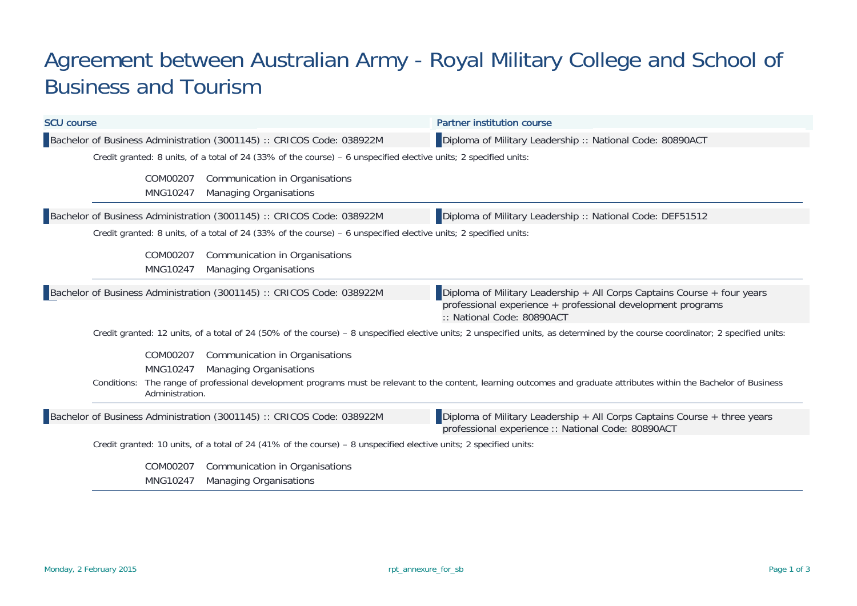## Agreement between Australian Army - Royal Military College and School of Business and Tourism

| <b>SCU course</b>                                                                                                                                                               |                                         |                                                                       | <b>Partner institution course</b>                                                                                                                                     |  |  |  |  |
|---------------------------------------------------------------------------------------------------------------------------------------------------------------------------------|-----------------------------------------|-----------------------------------------------------------------------|-----------------------------------------------------------------------------------------------------------------------------------------------------------------------|--|--|--|--|
|                                                                                                                                                                                 |                                         | Bachelor of Business Administration (3001145) :: CRICOS Code: 038922M | Diploma of Military Leadership :: National Code: 80890ACT                                                                                                             |  |  |  |  |
| Credit granted: 8 units, of a total of 24 (33% of the course) - 6 unspecified elective units; 2 specified units:                                                                |                                         |                                                                       |                                                                                                                                                                       |  |  |  |  |
|                                                                                                                                                                                 | COM00207<br>MNG10247                    | Communication in Organisations<br><b>Managing Organisations</b>       |                                                                                                                                                                       |  |  |  |  |
|                                                                                                                                                                                 |                                         | Bachelor of Business Administration (3001145) :: CRICOS Code: 038922M | Diploma of Military Leadership :: National Code: DEF51512                                                                                                             |  |  |  |  |
| Credit granted: 8 units, of a total of 24 (33% of the course) – 6 unspecified elective units; 2 specified units:                                                                |                                         |                                                                       |                                                                                                                                                                       |  |  |  |  |
|                                                                                                                                                                                 | COM00207<br>MNG10247                    | Communication in Organisations<br><b>Managing Organisations</b>       |                                                                                                                                                                       |  |  |  |  |
|                                                                                                                                                                                 |                                         | Bachelor of Business Administration (3001145) :: CRICOS Code: 038922M | Diploma of Military Leadership + All Corps Captains Course + four years<br>professional experience + professional development programs<br>:: National Code: 80890ACT  |  |  |  |  |
| Credit granted: 12 units, of a total of 24 (50% of the course) - 8 unspecified elective units; 2 unspecified units, as determined by the course coordinator; 2 specified units: |                                         |                                                                       |                                                                                                                                                                       |  |  |  |  |
|                                                                                                                                                                                 | COM00207<br>MNG10247<br>Administration. | Communication in Organisations<br><b>Managing Organisations</b>       | Conditions: The range of professional development programs must be relevant to the content, learning outcomes and graduate attributes within the Bachelor of Business |  |  |  |  |
|                                                                                                                                                                                 |                                         | Bachelor of Business Administration (3001145) :: CRICOS Code: 038922M | Diploma of Military Leadership + All Corps Captains Course + three years<br>professional experience :: National Code: 80890ACT                                        |  |  |  |  |
| Credit granted: 10 units, of a total of 24 (41% of the course) - 8 unspecified elective units; 2 specified units:                                                               |                                         |                                                                       |                                                                                                                                                                       |  |  |  |  |
|                                                                                                                                                                                 | COM00207<br>MNG10247                    | Communication in Organisations<br><b>Managing Organisations</b>       |                                                                                                                                                                       |  |  |  |  |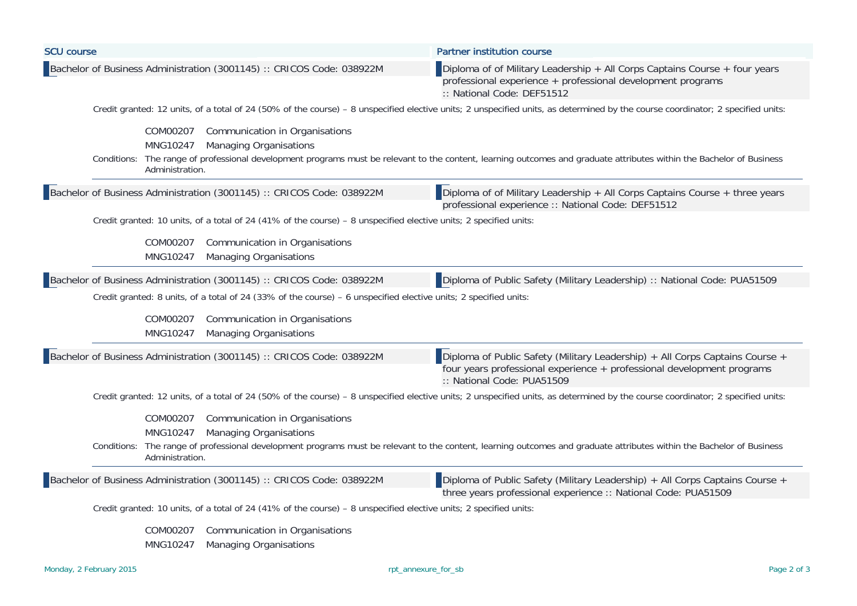| <b>SCU course</b>                                                                                                                                                                                                                                             | <b>Partner institution course</b>                                                                                                                                               |  |  |  |  |  |
|---------------------------------------------------------------------------------------------------------------------------------------------------------------------------------------------------------------------------------------------------------------|---------------------------------------------------------------------------------------------------------------------------------------------------------------------------------|--|--|--|--|--|
| Bachelor of Business Administration (3001145) :: CRICOS Code: 038922M                                                                                                                                                                                         | Diploma of of Military Leadership $+$ All Corps Captains Course $+$ four years<br>professional experience + professional development programs<br>:: National Code: DEF51512     |  |  |  |  |  |
|                                                                                                                                                                                                                                                               | Credit granted: 12 units, of a total of 24 (50% of the course) - 8 unspecified elective units; 2 unspecified units, as determined by the course coordinator; 2 specified units: |  |  |  |  |  |
| COM00207<br>Communication in Organisations                                                                                                                                                                                                                    |                                                                                                                                                                                 |  |  |  |  |  |
| MNG10247<br><b>Managing Organisations</b>                                                                                                                                                                                                                     |                                                                                                                                                                                 |  |  |  |  |  |
| Administration.                                                                                                                                                                                                                                               | Conditions: The range of professional development programs must be relevant to the content, learning outcomes and graduate attributes within the Bachelor of Business           |  |  |  |  |  |
| Bachelor of Business Administration (3001145) :: CRICOS Code: 038922M                                                                                                                                                                                         | Diploma of of Military Leadership $+$ All Corps Captains Course $+$ three years<br>professional experience :: National Code: DEF51512                                           |  |  |  |  |  |
| Credit granted: 10 units, of a total of 24 (41% of the course) - 8 unspecified elective units; 2 specified units:                                                                                                                                             |                                                                                                                                                                                 |  |  |  |  |  |
| COM00207<br>Communication in Organisations                                                                                                                                                                                                                    |                                                                                                                                                                                 |  |  |  |  |  |
| MNG10247<br><b>Managing Organisations</b>                                                                                                                                                                                                                     |                                                                                                                                                                                 |  |  |  |  |  |
| Bachelor of Business Administration (3001145) :: CRICOS Code: 038922M                                                                                                                                                                                         | Diploma of Public Safety (Military Leadership) :: National Code: PUA51509                                                                                                       |  |  |  |  |  |
| Credit granted: 8 units, of a total of 24 (33% of the course) - 6 unspecified elective units; 2 specified units:                                                                                                                                              |                                                                                                                                                                                 |  |  |  |  |  |
|                                                                                                                                                                                                                                                               |                                                                                                                                                                                 |  |  |  |  |  |
| COM00207<br>Communication in Organisations                                                                                                                                                                                                                    |                                                                                                                                                                                 |  |  |  |  |  |
| MNG10247<br><b>Managing Organisations</b>                                                                                                                                                                                                                     |                                                                                                                                                                                 |  |  |  |  |  |
| Diploma of Public Safety (Military Leadership) + All Corps Captains Course +<br>Bachelor of Business Administration (3001145) :: CRICOS Code: 038922M<br>four years professional experience + professional development programs<br>:: National Code: PUA51509 |                                                                                                                                                                                 |  |  |  |  |  |
|                                                                                                                                                                                                                                                               | Credit granted: 12 units, of a total of 24 (50% of the course) - 8 unspecified elective units; 2 unspecified units, as determined by the course coordinator; 2 specified units: |  |  |  |  |  |
| COM00207<br>Communication in Organisations                                                                                                                                                                                                                    |                                                                                                                                                                                 |  |  |  |  |  |
| MNG10247<br><b>Managing Organisations</b>                                                                                                                                                                                                                     |                                                                                                                                                                                 |  |  |  |  |  |
|                                                                                                                                                                                                                                                               | Conditions: The range of professional development programs must be relevant to the content, learning outcomes and graduate attributes within the Bachelor of Business           |  |  |  |  |  |
| Administration.                                                                                                                                                                                                                                               |                                                                                                                                                                                 |  |  |  |  |  |
| Bachelor of Business Administration (3001145) :: CRICOS Code: 038922M                                                                                                                                                                                         | Diploma of Public Safety (Military Leadership) + All Corps Captains Course +<br>three years professional experience :: National Code: PUA51509                                  |  |  |  |  |  |
| Credit granted: 10 units, of a total of 24 (41% of the course) - 8 unspecified elective units; 2 specified units:                                                                                                                                             |                                                                                                                                                                                 |  |  |  |  |  |
| Communication in Organisations<br>COM00207                                                                                                                                                                                                                    |                                                                                                                                                                                 |  |  |  |  |  |
| MNG10247<br><b>Managing Organisations</b>                                                                                                                                                                                                                     |                                                                                                                                                                                 |  |  |  |  |  |